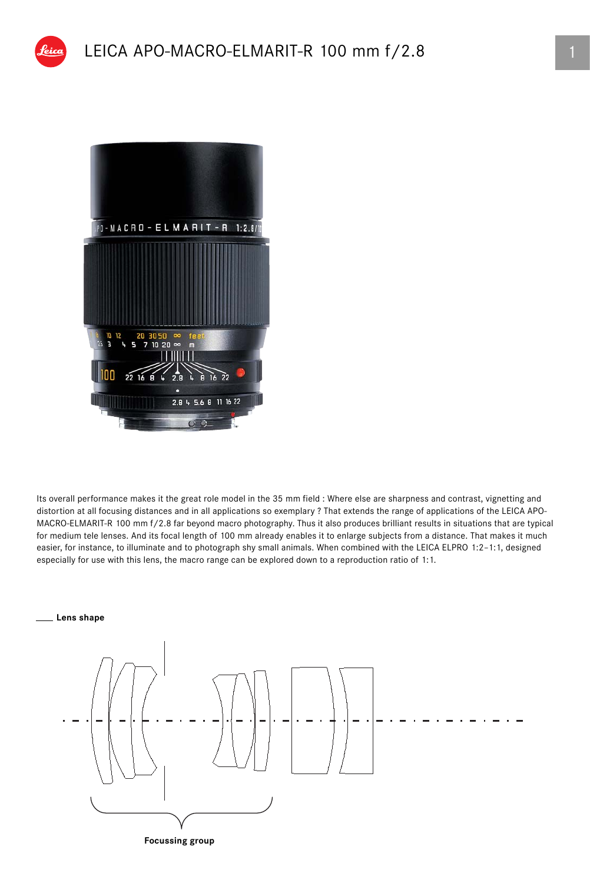

Its overall performance makes it the great role model in the 35 mm field : Where else are sharpness and contrast, vignetting and distortion at all focusing distances and in all applications so exemplary ? That extends the range of applications of the LEICA APO-MACRO-ELMARIT-R 100 mm f/2.8 far beyond macro photography. Thus it also produces brilliant results in situations that are typical for medium tele lenses. And its focal length of 100 mm already enables it to enlarge subjects from a distance. That makes it much easier, for instance, to illuminate and to photograph shy small animals. When combined with the LEICA ELPRO 1:2–1:1, designed especially for use with this lens, the macro range can be explored down to a reproduction ratio of 1:1.

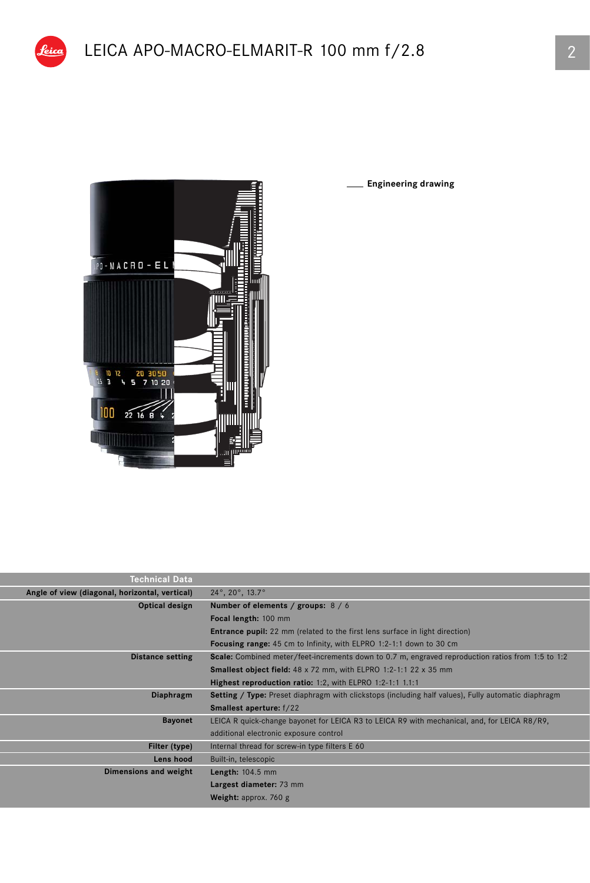

eico

**Engineering drawing**

| <b>Technical Data</b>                          |                                                                                                            |  |  |  |  |
|------------------------------------------------|------------------------------------------------------------------------------------------------------------|--|--|--|--|
| Angle of view (diagonal, horizontal, vertical) | $24^\circ$ , $20^\circ$ , $13.7^\circ$                                                                     |  |  |  |  |
| Optical design                                 | Number of elements / groups: $8/6$                                                                         |  |  |  |  |
|                                                | Focal length: 100 mm                                                                                       |  |  |  |  |
|                                                | <b>Entrance pupil:</b> 22 mm (related to the first lens surface in light direction)                        |  |  |  |  |
|                                                | <b>Focusing range:</b> 45 cm to Infinity, with ELPRO 1:2-1:1 down to 30 cm                                 |  |  |  |  |
| <b>Distance setting</b>                        | Scale: Combined meter/feet-increments down to 0.7 m, engraved reproduction ratios from 1:5 to 1:2          |  |  |  |  |
|                                                | <b>Smallest object field:</b> 48 x 72 mm, with ELPRO 1:2-1:1 22 x 35 mm                                    |  |  |  |  |
|                                                | Highest reproduction ratio: 1:2, with ELPRO 1:2-1:1 1.1:1                                                  |  |  |  |  |
| Diaphragm                                      | <b>Setting / Type:</b> Preset diaphragm with clickstops (including half values), Fully automatic diaphragm |  |  |  |  |
|                                                | <b>Smallest aperture:</b> f/22                                                                             |  |  |  |  |
| <b>Bayonet</b>                                 | LEICA R quick-change bayonet for LEICA R3 to LEICA R9 with mechanical, and, for LEICA R8/R9,               |  |  |  |  |
|                                                | additional electronic exposure control                                                                     |  |  |  |  |
| Filter (type)                                  | Internal thread for screw-in type filters E 60                                                             |  |  |  |  |
| Lens hood                                      | Built-in, telescopic                                                                                       |  |  |  |  |
| Dimensions and weight                          | <b>Length: 104.5 mm</b>                                                                                    |  |  |  |  |
|                                                | Largest diameter: 73 mm                                                                                    |  |  |  |  |
|                                                | Weight: approx. 760 g                                                                                      |  |  |  |  |
|                                                |                                                                                                            |  |  |  |  |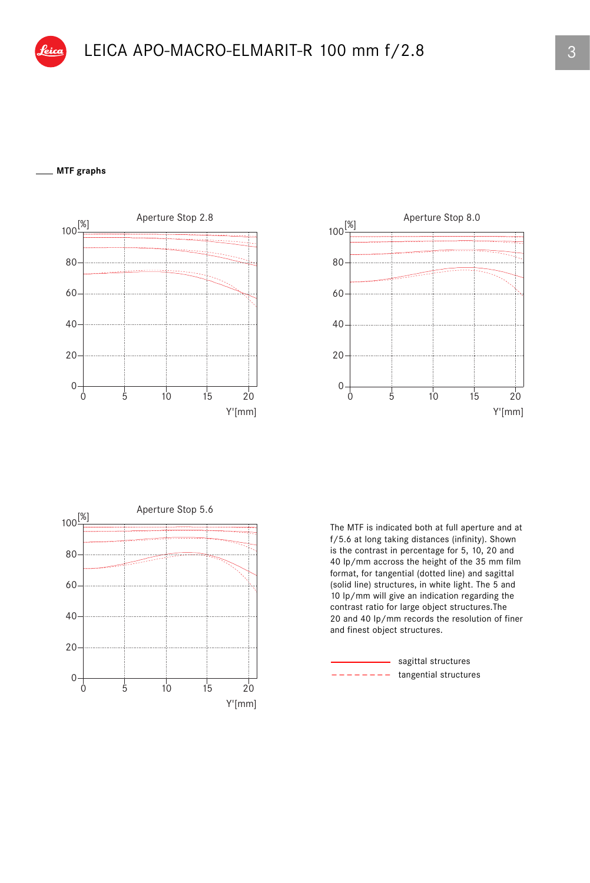## **MTF graphs**







The MTF is indicated both at full aperture and at f/5.6 at long taking distances (infinity). Shown is the contrast in percentage for 5, 10, 20 and 40 lp/mm accross the height of the 35 mm film format, for tangential (dotted line) and sagittal (solid line) structures, in white light. The 5 and 10 lp/mm will give an indication regarding the contrast ratio for large object structures.The 20 and 40 lp/mm records the resolution of finer and finest object structures.

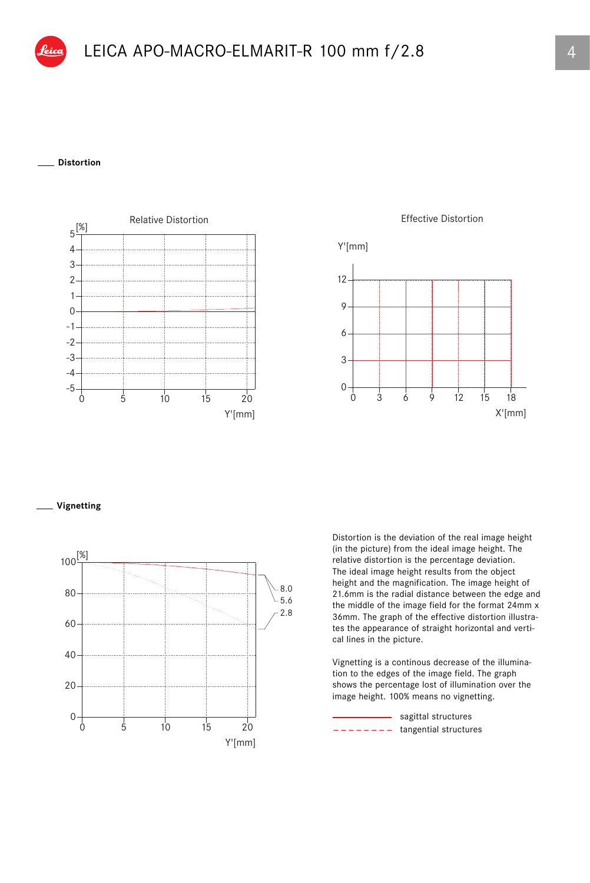## **Distortion**



**Effective Distortion** 



**Vignetting**



Distortion is the deviation of the real image height (in the picture) from the ideal image height. The relative distortion is the percentage deviation. The ideal image height results from the object height and the magnification. The image height of 21.6mm is the radial distance between the edge and the middle of the image field for the format 24mm x 36mm. The graph of the effective distortion illustrates the appearance of straight horizontal and vertical lines in the picture.

Vignetting is a continous decrease of the illumination to the edges of the image field. The graph shows the percentage lost of illumination over the image height. 100% means no vignetting.

 $------$  tangential structures - sagittal structures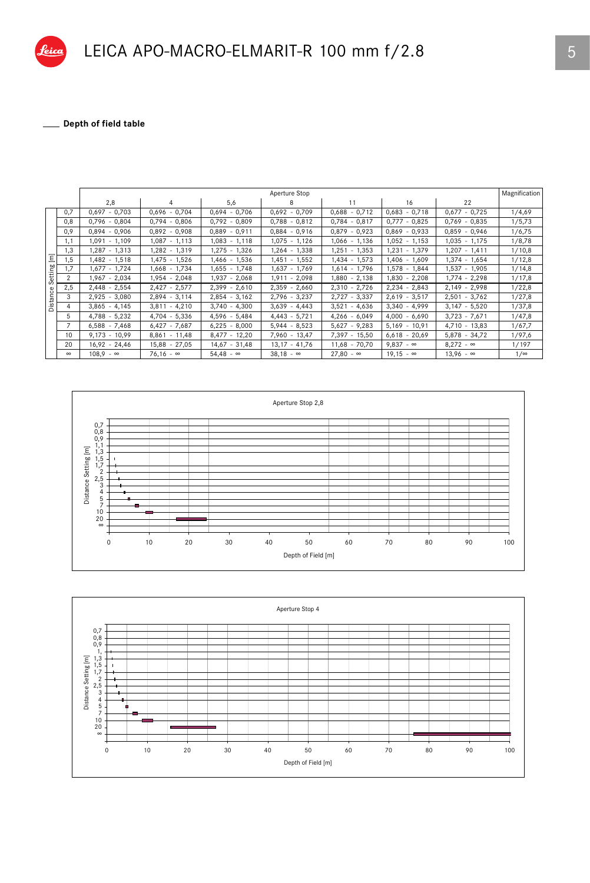

## LEICA APO-MACRO-ELMARIT-R 100 mm f/2.8

\_ Depth of field table

|                                              |               | Magnification<br>Aperture Stop |                  |                  |                  |                  |                  |                  |            |
|----------------------------------------------|---------------|--------------------------------|------------------|------------------|------------------|------------------|------------------|------------------|------------|
|                                              |               | 2,8                            | 4                | 5,6              | 8                | 11               | 16               | 22               |            |
| $\overline{\epsilon}$<br>Setting<br>Distance | 0,7           | $0,697 - 0,703$                | $0,696 - 0,704$  | $0.694 - 0.706$  | $0,692 - 0,709$  | $0,688 - 0,712$  | $0,683 - 0,718$  | $0,677 - 0,725$  | 1/4,69     |
|                                              | 0,8           | $0,796 - 0,804$                | $0,794 - 0,806$  | $0,792 - 0,809$  | $0,788 - 0,812$  | $0,784 - 0,817$  | $0.777 - 0.825$  | $0,769 - 0,835$  | 1/5,73     |
|                                              | 0,9           | $0,894 - 0,906$                | $0,892 - 0,908$  | $0,889 - 0,911$  | $0,884 - 0,916$  | $0,879 - 0,923$  | $0,869 - 0,933$  | $0,859 - 0,946$  | 1/6,75     |
|                                              | 1,1           | 1,091 - 1,109                  | $1,087 - 1,113$  | $1,083 - 1,118$  | $1,075 - 1,126$  | $1,066 - 1,136$  | $1,052 - 1,153$  | $1,035 - 1,175$  | 1/8,78     |
|                                              | 1.3           | $1,287 - 1,313$                | 1,282 - 1,319    | $1.275 - 1.326$  | 1.264 - 1.338    | $1.251 - 1.353$  | $1.231 - 1.379$  | $1.207 - 1.411$  | 1/10,8     |
|                                              | 1,5           | 1,482 - 1,518                  | $1,475 - 1,526$  | $1.466 - 1.536$  | $1,451 - 1,552$  | 1,434 - 1,573    | $1.406 - 1.609$  | $1,374 - 1,654$  | 1/12,8     |
|                                              | ,7            | $1,677 - 1,724$                | 1,668 - 1,734    | $1,655 - 1,748$  | $1,637 - 1,769$  | $1,614 - 1,796$  | $1,578 - 1,844$  | 1,537 - 1,905    | 1/14,8     |
|                                              | $\mathcal{P}$ | 1,967 - 2,034                  | 1,954 - 2,048    | $1,937 - 2,068$  | $1,911 - 2,098$  | $1,880 - 2,138$  | $1,830 - 2,208$  | $1,774 - 2,298$  | 1/17,8     |
|                                              | 2,5           | $2,448 - 2,554$                | $2,427 - 2,577$  | $2,399 - 2,610$  | $2,359 - 2,660$  | $2,310 - 2,726$  | $2,234 - 2,843$  | $2,149 - 2,998$  | 1/22,8     |
|                                              | 3             | $2,925 - 3,080$                | $2,894 - 3,114$  | $2,854 - 3,162$  | $2,796 - 3,237$  | $2,727 - 3,337$  | $2,619 - 3,517$  | $2,501 - 3,762$  | 1/27,8     |
|                                              | 4             | $3,865 - 4,145$                | $3,811 - 4,210$  | $3,740 - 4,300$  | $3,639 - 4,443$  | $3,521 - 4,636$  | $3,340 - 4,999$  | $3,147 - 5,520$  | 1/37,8     |
|                                              | 5             | $4,788 - 5,232$                | $4,704 - 5,336$  | $4,596 - 5,484$  | $4,443 - 5,721$  | $4,266 - 6,049$  | $4,000 - 6,690$  | $3,723 - 7,671$  | 1/47,8     |
|                                              |               | $6,588 - 7,468$                | $6,427 - 7,687$  | $6,225 - 8,000$  | $5,944 - 8,523$  | $5,627 - 9,283$  | $5,169 - 10,91$  | 4,710 - 13,83    | 1/67,7     |
|                                              | 10            | $9.173 - 10.99$                | $8.861 - 11.48$  | $8,477 - 12,20$  | 7,960 - 13,47    | 7,397 - 15,50    | $6,618 - 20,69$  | $5,878 - 34,72$  | 1/97,6     |
|                                              | 20            | $16,92 - 24,46$                | $15,88 - 27,05$  | $14,67 - 31,48$  | $13,17 - 41,76$  | $11,68 - 70,70$  | $9,837 - \infty$ | $8,272 - \infty$ | 1/197      |
|                                              | $\infty$      | $108.9 - \infty$               | $76,16 - \infty$ | $54,48 - \infty$ | $38,18 - \infty$ | $27,80 - \infty$ | $19,15 - \infty$ | $13,96 - \infty$ | $1/\infty$ |



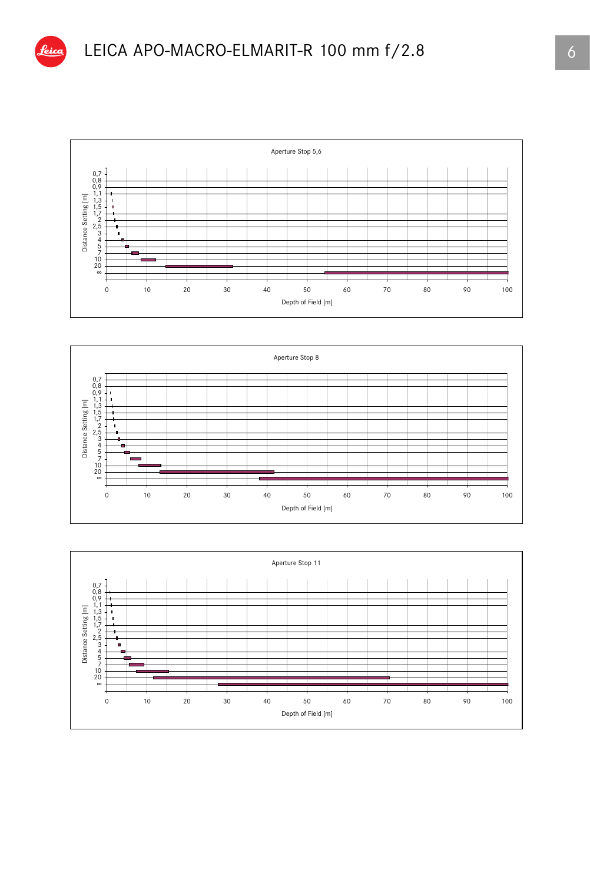